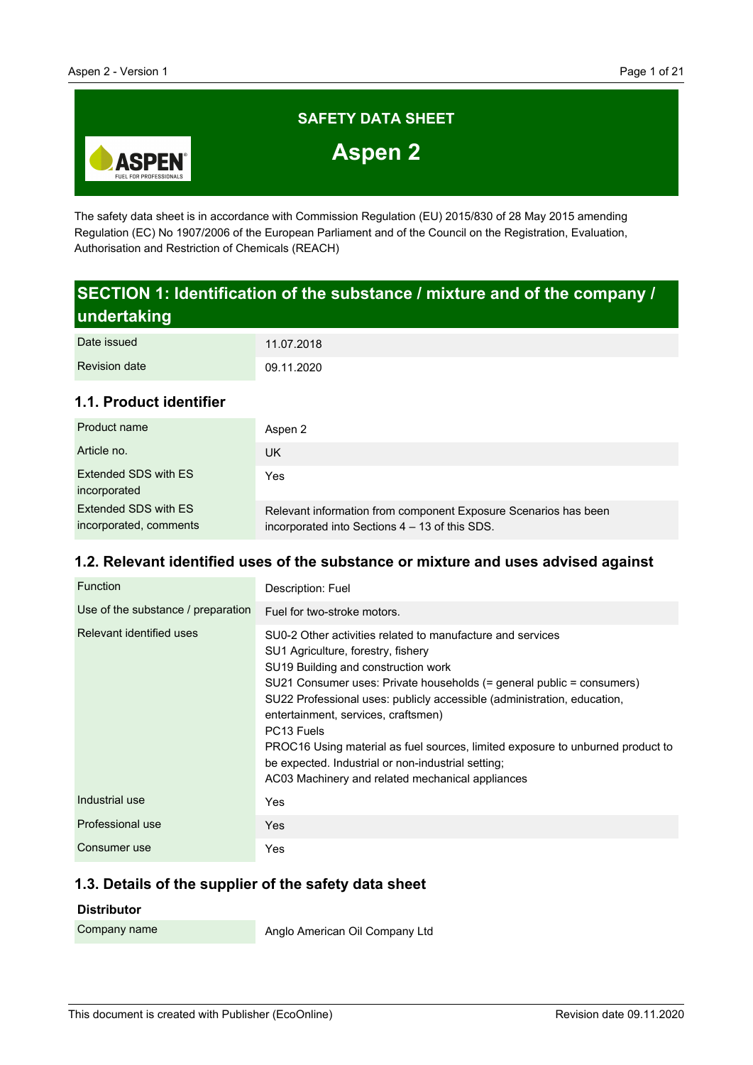

The safety data sheet is in accordance with Commission Regulation (EU) 2015/830 of 28 May 2015 amending Regulation (EC) No 1907/2006 of the European Parliament and of the Council on the Registration, Evaluation, Authorisation and Restriction of Chemicals (REACH)

# **SECTION 1: Identification of the substance / mixture and of the company / undertaking**

| Date issued          | 11.07.2018 |
|----------------------|------------|
| <b>Revision date</b> | 09.11.2020 |

# **1.1. Product identifier**

| Product name                                   | Aspen 2                                                                                                           |
|------------------------------------------------|-------------------------------------------------------------------------------------------------------------------|
| Article no.                                    | UK                                                                                                                |
| Extended SDS with ES<br>incorporated           | Yes                                                                                                               |
| Extended SDS with ES<br>incorporated, comments | Relevant information from component Exposure Scenarios has been<br>incorporated into Sections 4 – 13 of this SDS. |

#### **1.2. Relevant identified uses of the substance or mixture and uses advised against**

| Function                           | Description: Fuel                                                                                                                                                                                                                                                                                                                                                                                                                                                                                                                                        |
|------------------------------------|----------------------------------------------------------------------------------------------------------------------------------------------------------------------------------------------------------------------------------------------------------------------------------------------------------------------------------------------------------------------------------------------------------------------------------------------------------------------------------------------------------------------------------------------------------|
| Use of the substance / preparation | Fuel for two-stroke motors.                                                                                                                                                                                                                                                                                                                                                                                                                                                                                                                              |
| Relevant identified uses           | SU0-2 Other activities related to manufacture and services<br>SU1 Agriculture, forestry, fishery<br>SU19 Building and construction work<br>SU21 Consumer uses: Private households (= general public = consumers)<br>SU22 Professional uses: publicly accessible (administration, education,<br>entertainment, services, craftsmen)<br>PC <sub>13</sub> Fuels<br>PROC16 Using material as fuel sources, limited exposure to unburned product to<br>be expected. Industrial or non-industrial setting;<br>AC03 Machinery and related mechanical appliances |
| Industrial use                     | Yes                                                                                                                                                                                                                                                                                                                                                                                                                                                                                                                                                      |
| Professional use                   | Yes                                                                                                                                                                                                                                                                                                                                                                                                                                                                                                                                                      |
| Consumer use                       | Yes                                                                                                                                                                                                                                                                                                                                                                                                                                                                                                                                                      |

# **1.3. Details of the supplier of the safety data sheet**

#### **Distributor**

Company name

Anglo American Oil Company Ltd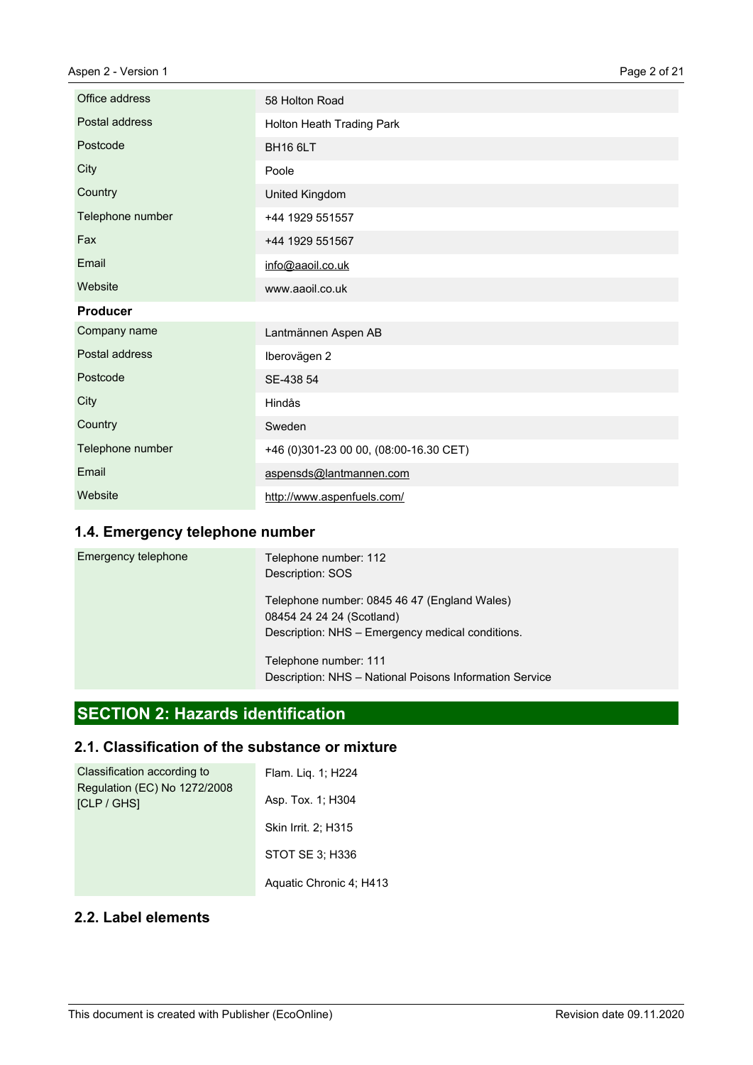| Office address   | 58 Holton Road                         |
|------------------|----------------------------------------|
| Postal address   | Holton Heath Trading Park              |
| Postcode         | BH16 6LT                               |
| City             | Poole                                  |
| Country          | United Kingdom                         |
| Telephone number | +44 1929 551557                        |
| Fax              | +44 1929 551567                        |
| Email            | info@aaoil.co.uk                       |
| Website          | www.aaoil.co.uk                        |
| <b>Producer</b>  |                                        |
| Company name     | Lantmännen Aspen AB                    |
| Postal address   | Iberovägen 2                           |
| Postcode         | SE-438 54                              |
| City             | Hindås                                 |
| Country          | Sweden                                 |
| Telephone number | +46 (0)301-23 00 00, (08:00-16.30 CET) |
| Email            | aspensds@lantmannen.com                |
| Website          | http://www.aspenfuels.com/             |

# **1.4. Emergency telephone number**

| Emergency telephone | Telephone number: 112<br>Description: SOS                                                                                     |
|---------------------|-------------------------------------------------------------------------------------------------------------------------------|
|                     | Telephone number: 0845 46 47 (England Wales)<br>08454 24 24 24 (Scotland)<br>Description: NHS - Emergency medical conditions. |
|                     | Telephone number: 111<br>Description: NHS - National Poisons Information Service                                              |

# **SECTION 2: Hazards identification**

# **2.1. Classification of the substance or mixture**

| Classification according to                        | Flam. Lig. 1; H224      |
|----------------------------------------------------|-------------------------|
| Regulation (EC) No 1272/2008<br><b>ICLP / GHSI</b> | Asp. Tox. 1; H304       |
|                                                    | Skin Irrit. 2; H315     |
|                                                    | STOT SE 3: H336         |
|                                                    | Aquatic Chronic 4; H413 |

# **2.2. Label elements**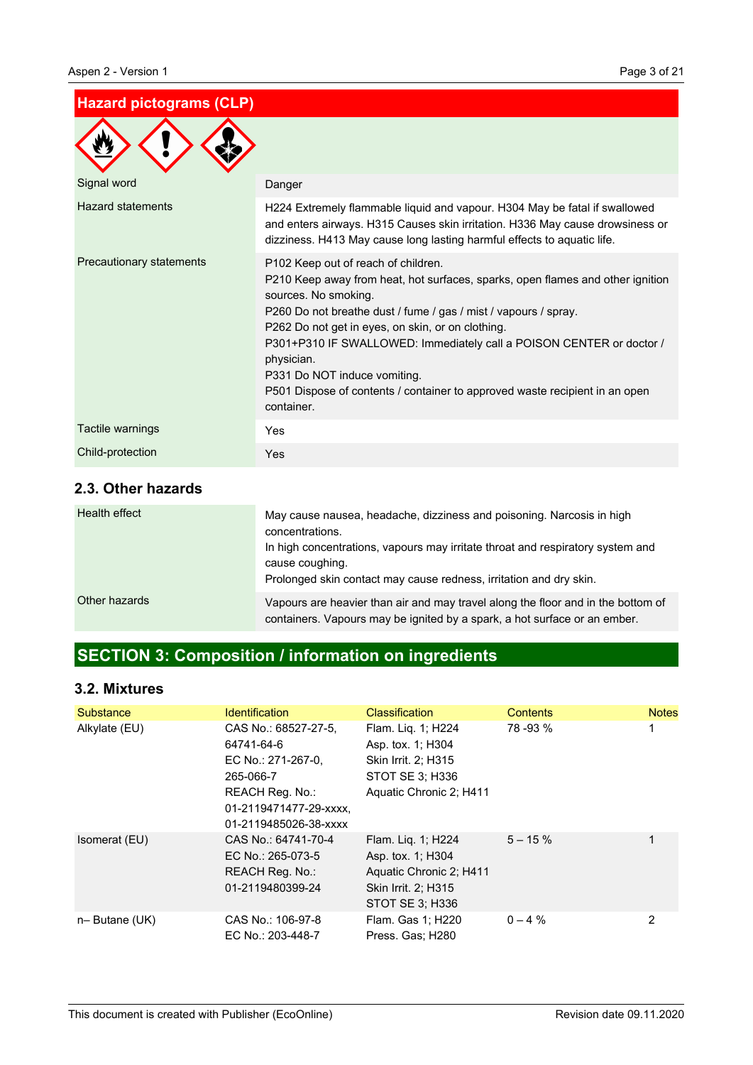# **Hazard pictograms (CLP)**

| Signal word              | Danger                                                                                                                                                                                                                                                                                                                                                                                                                                                                                   |
|--------------------------|------------------------------------------------------------------------------------------------------------------------------------------------------------------------------------------------------------------------------------------------------------------------------------------------------------------------------------------------------------------------------------------------------------------------------------------------------------------------------------------|
| <b>Hazard statements</b> | H224 Extremely flammable liquid and vapour. H304 May be fatal if swallowed<br>and enters airways. H315 Causes skin irritation. H336 May cause drowsiness or<br>dizziness. H413 May cause long lasting harmful effects to aquatic life.                                                                                                                                                                                                                                                   |
| Precautionary statements | P102 Keep out of reach of children.<br>P210 Keep away from heat, hot surfaces, sparks, open flames and other ignition<br>sources. No smoking.<br>P260 Do not breathe dust / fume / gas / mist / vapours / spray.<br>P262 Do not get in eyes, on skin, or on clothing.<br>P301+P310 IF SWALLOWED: Immediately call a POISON CENTER or doctor /<br>physician.<br>P331 Do NOT induce vomiting.<br>P501 Dispose of contents / container to approved waste recipient in an open<br>container. |
| Tactile warnings         | Yes                                                                                                                                                                                                                                                                                                                                                                                                                                                                                      |
| Child-protection         | Yes                                                                                                                                                                                                                                                                                                                                                                                                                                                                                      |

# **2.3. Other hazards**

| Health effect | May cause nausea, headache, dizziness and poisoning. Narcosis in high<br>concentrations.<br>In high concentrations, vapours may irritate throat and respiratory system and<br>cause coughing.<br>Prolonged skin contact may cause redness, irritation and dry skin. |
|---------------|---------------------------------------------------------------------------------------------------------------------------------------------------------------------------------------------------------------------------------------------------------------------|
| Other hazards | Vapours are heavier than air and may travel along the floor and in the bottom of<br>containers. Vapours may be ignited by a spark, a hot surface or an ember.                                                                                                       |

# **SECTION 3: Composition / information on ingredients**

# **3.2. Mixtures**

| Substance     | <b>Identification</b>                                                                                                                       | <b>Classification</b>                                                                                        | <b>Contents</b> | <b>Notes</b> |
|---------------|---------------------------------------------------------------------------------------------------------------------------------------------|--------------------------------------------------------------------------------------------------------------|-----------------|--------------|
| Alkylate (EU) | CAS No.: 68527-27-5.<br>64741-64-6<br>EC No.: 271-267-0.<br>265-066-7<br>REACH Reg. No.:<br>01-2119471477-29-xxxx.<br>01-2119485026-38-xxxx | Flam. Liq. 1; H224<br>Asp. tox. 1: H304<br>Skin Irrit. 2: H315<br>STOT SE 3: H336<br>Aquatic Chronic 2; H411 | 78 - 93 %       |              |
| Isomerat (EU) | CAS No.: 64741-70-4<br>EC No.: 265-073-5<br><b>REACH Reg. No.:</b><br>01-2119480399-24                                                      | Flam. Liq. 1; H224<br>Asp. tox. 1; H304<br>Aquatic Chronic 2; H411<br>Skin Irrit. 2; H315<br>STOT SE 3; H336 | $5 - 15 \%$     |              |
| n-Butane (UK) | CAS No.: 106-97-8<br>EC No.: 203-448-7                                                                                                      | Flam. Gas 1; H220<br>Press. Gas; H280                                                                        | $0 - 4\%$       | 2            |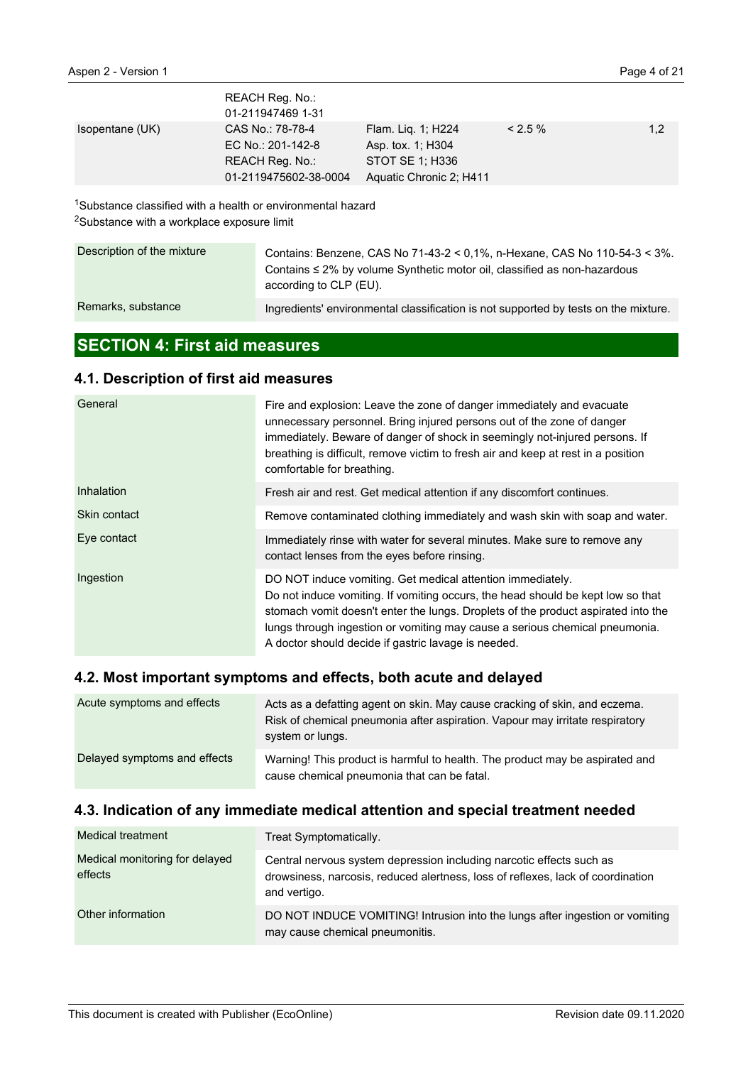|                 | REACH Reg. No.:<br>01-211947469 1-31                                              |                                                                                       |           |     |
|-----------------|-----------------------------------------------------------------------------------|---------------------------------------------------------------------------------------|-----------|-----|
| Isopentane (UK) | CAS No.: 78-78-4<br>EC No.: 201-142-8<br>REACH Reg. No.:<br>01-2119475602-38-0004 | Flam. Lig. 1; H224<br>Asp. tox. 1; H304<br>STOT SE 1: H336<br>Aquatic Chronic 2; H411 | $< 2.5\%$ | 1,2 |

<sup>1</sup>Substance classified with a health or environmental hazard <sup>2</sup>Substance with a workplace exposure limit

| Description of the mixture | Contains: Benzene, CAS No 71-43-2 < 0.1%, n-Hexane, CAS No 110-54-3 < 3%.<br>Contains $\leq 2\%$ by volume Synthetic motor oil, classified as non-hazardous<br>according to CLP (EU). |
|----------------------------|---------------------------------------------------------------------------------------------------------------------------------------------------------------------------------------|
| Remarks, substance         | Ingredients' environmental classification is not supported by tests on the mixture.                                                                                                   |

# **SECTION 4: First aid measures**

# **4.1. Description of first aid measures**

| General      | Fire and explosion: Leave the zone of danger immediately and evacuate<br>unnecessary personnel. Bring injured persons out of the zone of danger<br>immediately. Beware of danger of shock in seemingly not-injured persons. If<br>breathing is difficult, remove victim to fresh air and keep at rest in a position<br>comfortable for breathing.                        |  |
|--------------|--------------------------------------------------------------------------------------------------------------------------------------------------------------------------------------------------------------------------------------------------------------------------------------------------------------------------------------------------------------------------|--|
| Inhalation   | Fresh air and rest. Get medical attention if any discomfort continues.                                                                                                                                                                                                                                                                                                   |  |
| Skin contact | Remove contaminated clothing immediately and wash skin with soap and water.                                                                                                                                                                                                                                                                                              |  |
| Eye contact  | Immediately rinse with water for several minutes. Make sure to remove any<br>contact lenses from the eyes before rinsing.                                                                                                                                                                                                                                                |  |
| Ingestion    | DO NOT induce vomiting. Get medical attention immediately.<br>Do not induce vomiting. If vomiting occurs, the head should be kept low so that<br>stomach vomit doesn't enter the lungs. Droplets of the product aspirated into the<br>lungs through ingestion or vomiting may cause a serious chemical pneumonia.<br>A doctor should decide if gastric lavage is needed. |  |

# **4.2. Most important symptoms and effects, both acute and delayed**

| Acute symptoms and effects   | Acts as a defatting agent on skin. May cause cracking of skin, and eczema.<br>Risk of chemical pneumonia after aspiration. Vapour may irritate respiratory<br>system or lungs. |
|------------------------------|--------------------------------------------------------------------------------------------------------------------------------------------------------------------------------|
| Delayed symptoms and effects | Warning! This product is harmful to health. The product may be aspirated and<br>cause chemical pneumonia that can be fatal.                                                    |

# **4.3. Indication of any immediate medical attention and special treatment needed**

| Medical treatment                         | Treat Symptomatically.                                                                                                                                                  |
|-------------------------------------------|-------------------------------------------------------------------------------------------------------------------------------------------------------------------------|
| Medical monitoring for delayed<br>effects | Central nervous system depression including narcotic effects such as<br>drowsiness, narcosis, reduced alertness, loss of reflexes, lack of coordination<br>and vertigo. |
| Other information                         | DO NOT INDUCE VOMITING! Intrusion into the lungs after ingestion or vomiting<br>may cause chemical pneumonitis.                                                         |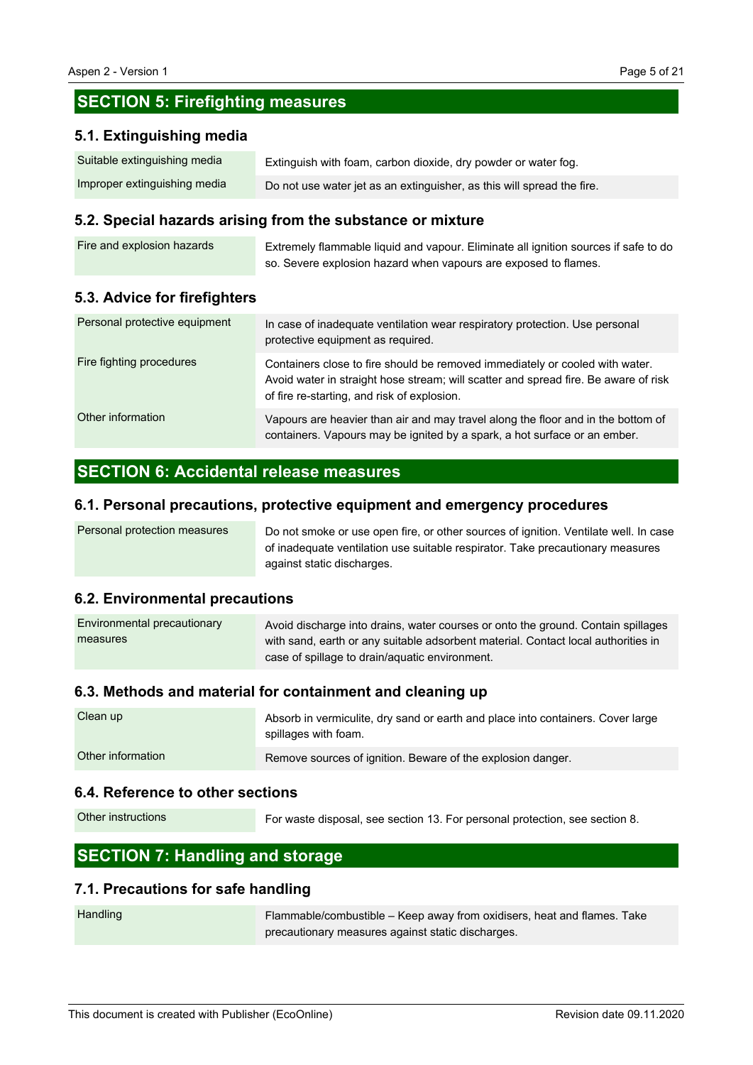# **SECTION 5: Firefighting measures**

#### **5.1. Extinguishing media**

| Suitable extinguishing media | Extinguish with foam, carbon dioxide, dry powder or water fog.         |
|------------------------------|------------------------------------------------------------------------|
| Improper extinguishing media | Do not use water jet as an extinguisher, as this will spread the fire. |

#### **5.2. Special hazards arising from the substance or mixture**

| Fire and explosion hazards | Extremely flammable liquid and vapour. Eliminate all ignition sources if safe to do |
|----------------------------|-------------------------------------------------------------------------------------|
|                            | so. Severe explosion hazard when vapours are exposed to flames.                     |

#### **5.3. Advice for firefighters**

| Personal protective equipment | In case of inadequate ventilation wear respiratory protection. Use personal<br>protective equipment as required.                                                                                                   |
|-------------------------------|--------------------------------------------------------------------------------------------------------------------------------------------------------------------------------------------------------------------|
| Fire fighting procedures      | Containers close to fire should be removed immediately or cooled with water.<br>Avoid water in straight hose stream; will scatter and spread fire. Be aware of risk<br>of fire re-starting, and risk of explosion. |
| Other information             | Vapours are heavier than air and may travel along the floor and in the bottom of<br>containers. Vapours may be ignited by a spark, a hot surface or an ember.                                                      |

# **SECTION 6: Accidental release measures**

#### **6.1. Personal precautions, protective equipment and emergency procedures**

| Personal protection measures | Do not smoke or use open fire, or other sources of ignition. Ventilate well. In case |
|------------------------------|--------------------------------------------------------------------------------------|
|                              | of inadequate ventilation use suitable respirator. Take precautionary measures       |
|                              | against static discharges.                                                           |

#### **6.2. Environmental precautions**

| Environmental precautionary | Avoid discharge into drains, water courses or onto the ground. Contain spillages  |
|-----------------------------|-----------------------------------------------------------------------------------|
| measures                    | with sand, earth or any suitable adsorbent material. Contact local authorities in |
|                             | case of spillage to drain/aquatic environment.                                    |

#### **6.3. Methods and material for containment and cleaning up**

| Clean up          | Absorb in vermiculite, dry sand or earth and place into containers. Cover large<br>spillages with foam. |
|-------------------|---------------------------------------------------------------------------------------------------------|
| Other information | Remove sources of ignition. Beware of the explosion danger.                                             |

#### **6.4. Reference to other sections**

For waste disposal, see section 13. For personal protection, see section 8. Other instructions

# **SECTION 7: Handling and storage**

#### **7.1. Precautions for safe handling**

| Handling | Flammable/combustible – Keep away from oxidisers, heat and flames. Take |
|----------|-------------------------------------------------------------------------|
|          | precautionary measures against static discharges.                       |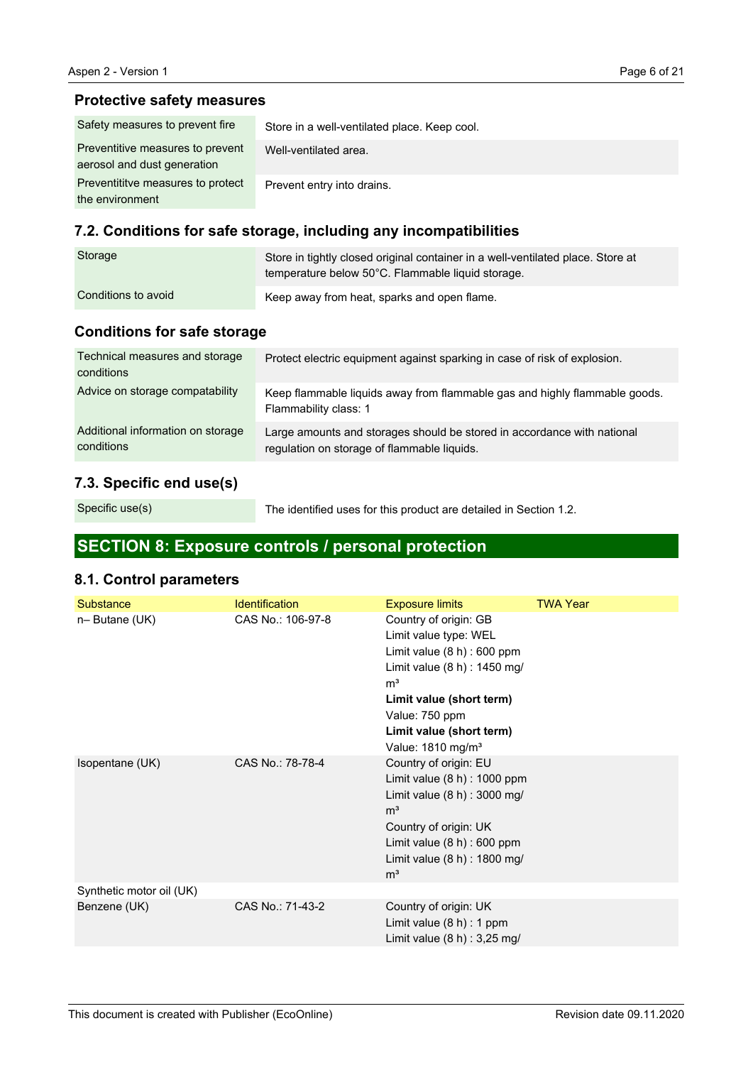# **Protective safety measures**

| Safety measures to prevent fire                                 | Store in a well-ventilated place. Keep cool. |
|-----------------------------------------------------------------|----------------------------------------------|
| Preventitive measures to prevent<br>aerosol and dust generation | Well-ventilated area.                        |
| Preventititye measures to protect<br>the environment            | Prevent entry into drains.                   |

# **7.2. Conditions for safe storage, including any incompatibilities**

| Storage             | Store in tightly closed original container in a well-ventilated place. Store at<br>temperature below 50°C. Flammable liquid storage. |
|---------------------|--------------------------------------------------------------------------------------------------------------------------------------|
| Conditions to avoid | Keep away from heat, sparks and open flame.                                                                                          |

# **Conditions for safe storage**

| Technical measures and storage<br>conditions    | Protect electric equipment against sparking in case of risk of explosion.                                              |
|-------------------------------------------------|------------------------------------------------------------------------------------------------------------------------|
| Advice on storage compatability                 | Keep flammable liquids away from flammable gas and highly flammable goods.<br>Flammability class: 1                    |
| Additional information on storage<br>conditions | Large amounts and storages should be stored in accordance with national<br>regulation on storage of flammable liquids. |

# **7.3. Specific end use(s)**

Specific use(s)

The identified uses for this product are detailed in Section 1.2.

# **SECTION 8: Exposure controls / personal protection**

# **8.1. Control parameters**

| Substance                | <b>Identification</b> | <b>Exposure limits</b>                                                                                                                                                                                                                       | <b>TWA Year</b> |
|--------------------------|-----------------------|----------------------------------------------------------------------------------------------------------------------------------------------------------------------------------------------------------------------------------------------|-----------------|
| n-Butane (UK)            | CAS No.: 106-97-8     | Country of origin: GB<br>Limit value type: WEL<br>Limit value $(8 h)$ : 600 ppm<br>Limit value (8 h) : 1450 mg/<br>m <sup>3</sup><br>Limit value (short term)<br>Value: 750 ppm<br>Limit value (short term)<br>Value: 1810 mg/m <sup>3</sup> |                 |
| Isopentane (UK)          | CAS No.: 78-78-4      | Country of origin: EU<br>Limit value $(8 h)$ : 1000 ppm<br>Limit value (8 h) : 3000 mg/<br>m <sup>3</sup><br>Country of origin: UK<br>Limit value $(8 h)$ : 600 ppm<br>Limit value $(8 h)$ : 1800 mg/<br>m <sup>3</sup>                      |                 |
| Synthetic motor oil (UK) |                       |                                                                                                                                                                                                                                              |                 |
| Benzene (UK)             | CAS No.: 71-43-2      | Country of origin: UK<br>Limit value $(8 h) : 1 ppm$<br>Limit value $(8 h) : 3,25 mg/$                                                                                                                                                       |                 |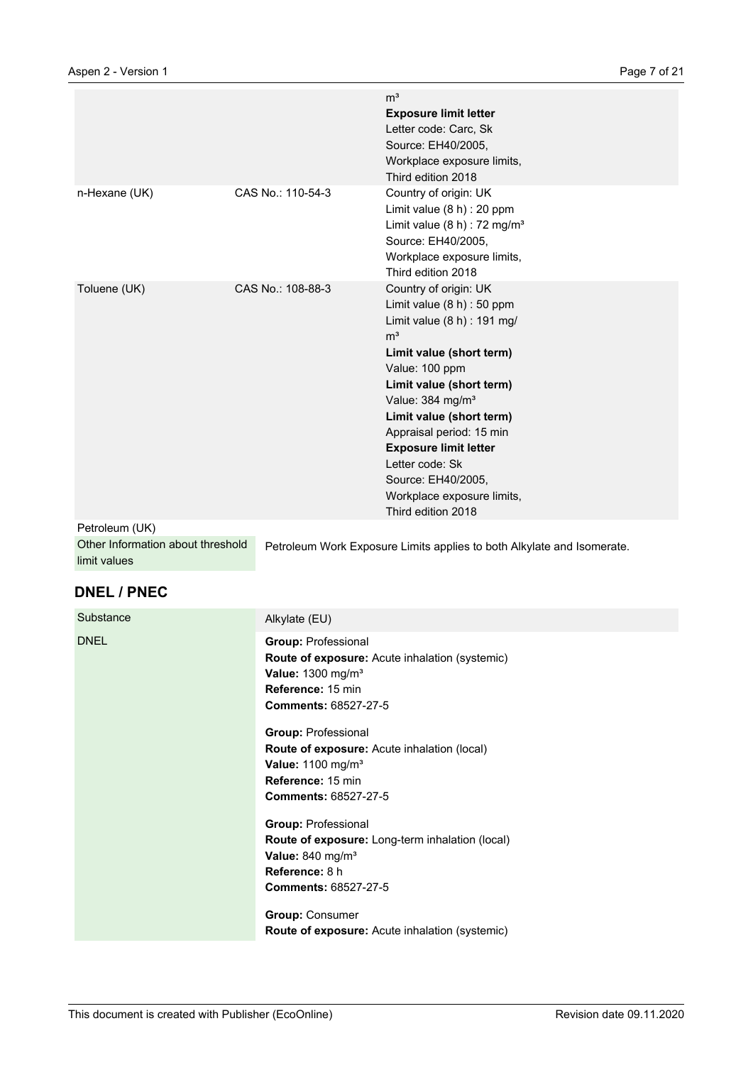|                |                   | m <sup>3</sup><br><b>Exposure limit letter</b><br>Letter code: Carc, Sk<br>Source: EH40/2005,<br>Workplace exposure limits,<br>Third edition 2018                                                                                                                                                                                                                                                     |
|----------------|-------------------|-------------------------------------------------------------------------------------------------------------------------------------------------------------------------------------------------------------------------------------------------------------------------------------------------------------------------------------------------------------------------------------------------------|
| n-Hexane (UK)  | CAS No.: 110-54-3 | Country of origin: UK<br>Limit value (8 h) : 20 ppm<br>Limit value $(8 h)$ : 72 mg/m <sup>3</sup><br>Source: EH40/2005,<br>Workplace exposure limits,<br>Third edition 2018                                                                                                                                                                                                                           |
| Toluene (UK)   | CAS No.: 108-88-3 | Country of origin: UK<br>Limit value (8 h) : 50 ppm<br>Limit value $(8 h)$ : 191 mg/<br>m <sup>3</sup><br>Limit value (short term)<br>Value: 100 ppm<br>Limit value (short term)<br>Value: 384 mg/m <sup>3</sup><br>Limit value (short term)<br>Appraisal period: 15 min<br><b>Exposure limit letter</b><br>Letter code: Sk<br>Source: EH40/2005,<br>Workplace exposure limits,<br>Third edition 2018 |
| Petroleum (UK) |                   |                                                                                                                                                                                                                                                                                                                                                                                                       |

| Other Information about threshold | Petroleum Work Exposure Limits applies to both Alkylate and Isomerate. |
|-----------------------------------|------------------------------------------------------------------------|
| limit values                      |                                                                        |

# **DNEL / PNEC**

| Substance   | Alkylate (EU)                                                                                                                                                              |
|-------------|----------------------------------------------------------------------------------------------------------------------------------------------------------------------------|
| <b>DNEL</b> | <b>Group: Professional</b><br><b>Route of exposure:</b> Acute inhalation (systemic)<br>Value: $1300$ mg/m <sup>3</sup><br>Reference: 15 min<br><b>Comments: 68527-27-5</b> |
|             | <b>Group: Professional</b><br><b>Route of exposure:</b> Acute inhalation (local)<br>Value: 1100 mg/m <sup>3</sup><br>Reference: 15 min<br><b>Comments: 68527-27-5</b>      |
|             | <b>Group: Professional</b><br>Route of exposure: Long-term inhalation (local)<br>Value: 840 mg/m <sup>3</sup><br>Reference: 8 h<br><b>Comments: 68527-27-5</b>             |
|             | <b>Group: Consumer</b><br><b>Route of exposure:</b> Acute inhalation (systemic)                                                                                            |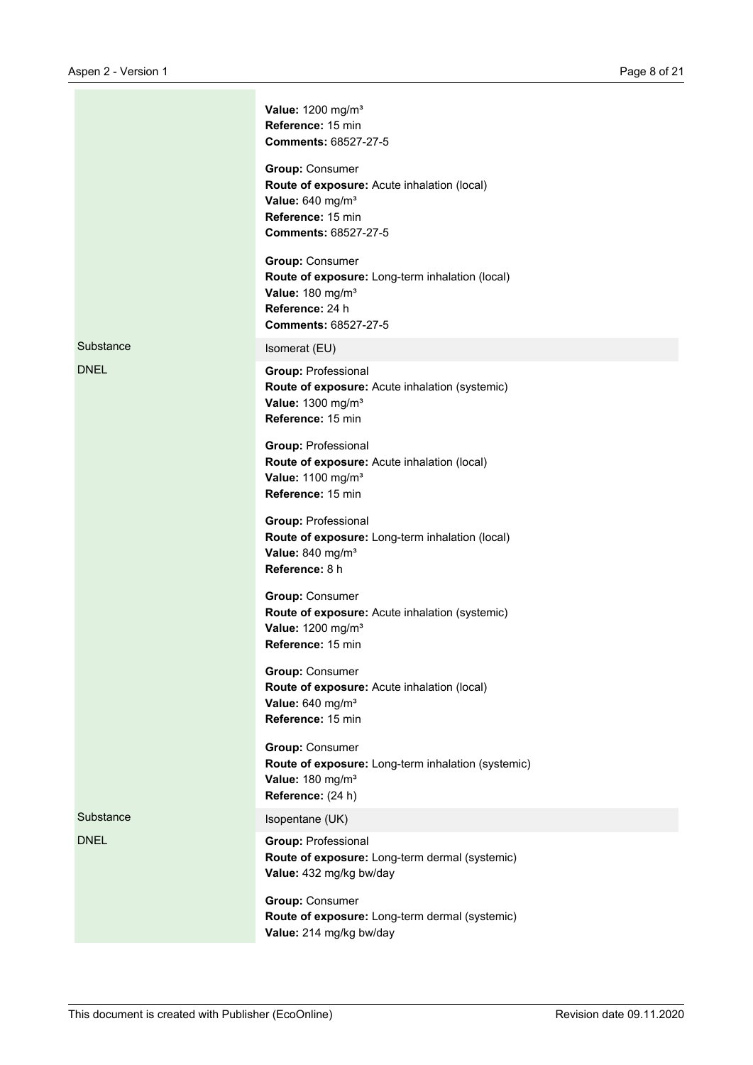|             | Value: 1200 mg/m <sup>3</sup><br>Reference: 15 min<br><b>Comments: 68527-27-5</b>                                                                           |
|-------------|-------------------------------------------------------------------------------------------------------------------------------------------------------------|
|             | <b>Group: Consumer</b><br>Route of exposure: Acute inhalation (local)<br>Value: 640 mg/m <sup>3</sup><br>Reference: 15 min<br><b>Comments: 68527-27-5</b>   |
|             | <b>Group: Consumer</b><br>Route of exposure: Long-term inhalation (local)<br>Value: 180 mg/m <sup>3</sup><br>Reference: 24 h<br><b>Comments: 68527-27-5</b> |
| Substance   | Isomerat (EU)                                                                                                                                               |
| <b>DNEL</b> | <b>Group: Professional</b><br>Route of exposure: Acute inhalation (systemic)<br>Value: 1300 mg/m <sup>3</sup><br>Reference: 15 min                          |
|             | <b>Group: Professional</b><br>Route of exposure: Acute inhalation (local)<br>Value: 1100 mg/m <sup>3</sup><br>Reference: 15 min                             |
|             | <b>Group: Professional</b><br>Route of exposure: Long-term inhalation (local)<br>Value: 840 mg/m <sup>3</sup><br>Reference: 8 h                             |
|             | <b>Group: Consumer</b><br>Route of exposure: Acute inhalation (systemic)<br>Value: 1200 mg/m <sup>3</sup><br>Reference: 15 min                              |
|             | <b>Group: Consumer</b><br>Route of exposure: Acute inhalation (local)<br>Value: 640 mg/m <sup>3</sup><br>Reference: 15 min                                  |
|             | <b>Group: Consumer</b><br>Route of exposure: Long-term inhalation (systemic)<br>Value: 180 mg/m <sup>3</sup><br>Reference: (24 h)                           |
| Substance   | Isopentane (UK)                                                                                                                                             |
| <b>DNEL</b> | <b>Group: Professional</b><br>Route of exposure: Long-term dermal (systemic)<br>Value: 432 mg/kg bw/day                                                     |
|             | <b>Group: Consumer</b><br>Route of exposure: Long-term dermal (systemic)<br>Value: 214 mg/kg bw/day                                                         |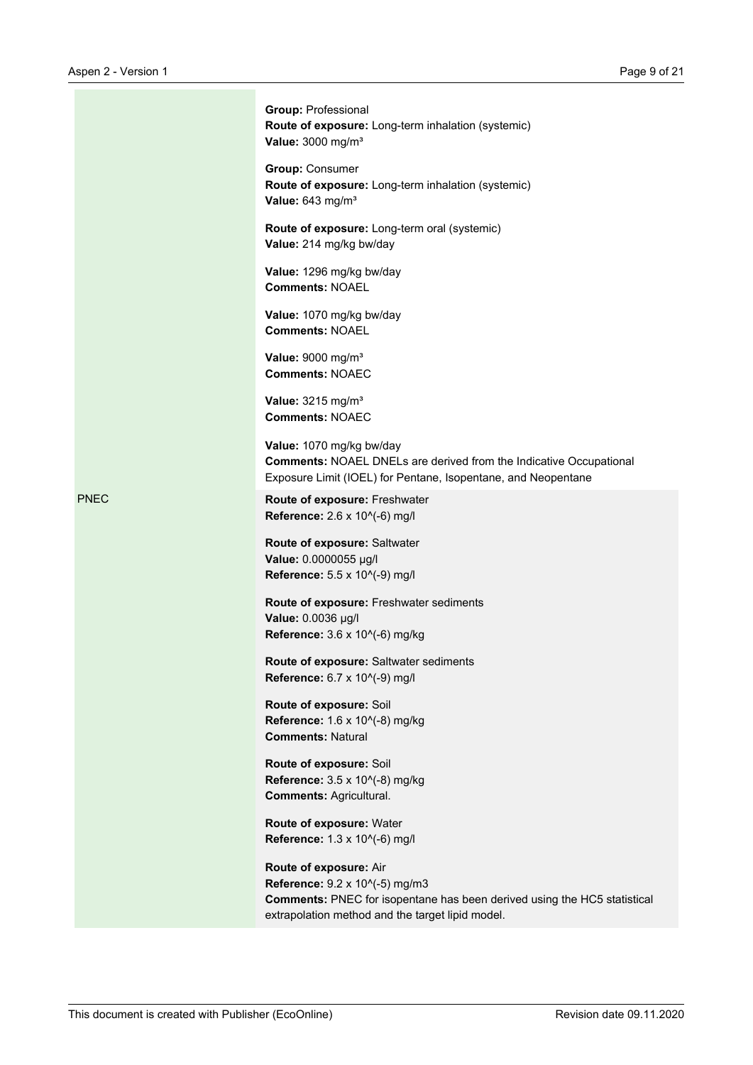|             | <b>Group: Professional</b><br>Route of exposure: Long-term inhalation (systemic)<br>Value: 3000 mg/m <sup>3</sup>                                                                        |
|-------------|------------------------------------------------------------------------------------------------------------------------------------------------------------------------------------------|
|             | <b>Group: Consumer</b><br>Route of exposure: Long-term inhalation (systemic)<br>Value: 643 mg/m <sup>3</sup>                                                                             |
|             | Route of exposure: Long-term oral (systemic)<br>Value: 214 mg/kg bw/day                                                                                                                  |
|             | Value: 1296 mg/kg bw/day<br><b>Comments: NOAEL</b>                                                                                                                                       |
|             | Value: 1070 mg/kg bw/day<br><b>Comments: NOAEL</b>                                                                                                                                       |
|             | Value: 9000 mg/m <sup>3</sup><br><b>Comments: NOAEC</b>                                                                                                                                  |
|             | Value: 3215 mg/m <sup>3</sup><br><b>Comments: NOAEC</b>                                                                                                                                  |
|             | Value: 1070 mg/kg bw/day<br><b>Comments: NOAEL DNELs are derived from the Indicative Occupational</b><br>Exposure Limit (IOEL) for Pentane, Isopentane, and Neopentane                   |
| <b>PNEC</b> | Route of exposure: Freshwater<br>Reference: 2.6 x 10^(-6) mg/l                                                                                                                           |
|             | Route of exposure: Saltwater<br>Value: 0.0000055 µg/l<br>Reference: 5.5 x 10^(-9) mg/l                                                                                                   |
|             | Route of exposure: Freshwater sediments<br>Value: 0.0036 µg/l<br>Reference: 3.6 x 10^(-6) mg/kg                                                                                          |
|             | Route of exposure: Saltwater sediments<br>Reference: 6.7 x 10^(-9) mg/l                                                                                                                  |
|             | Route of exposure: Soil<br>Reference: 1.6 x 10^(-8) mg/kg<br><b>Comments: Natural</b>                                                                                                    |
|             | Route of exposure: Soil<br>Reference: 3.5 x 10^(-8) mg/kg<br><b>Comments: Agricultural.</b>                                                                                              |
|             | Route of exposure: Water<br>Reference: 1.3 x 10^(-6) mg/l                                                                                                                                |
|             | Route of exposure: Air<br>Reference: 9.2 x 10^(-5) mg/m3<br>Comments: PNEC for isopentane has been derived using the HC5 statistical<br>extrapolation method and the target lipid model. |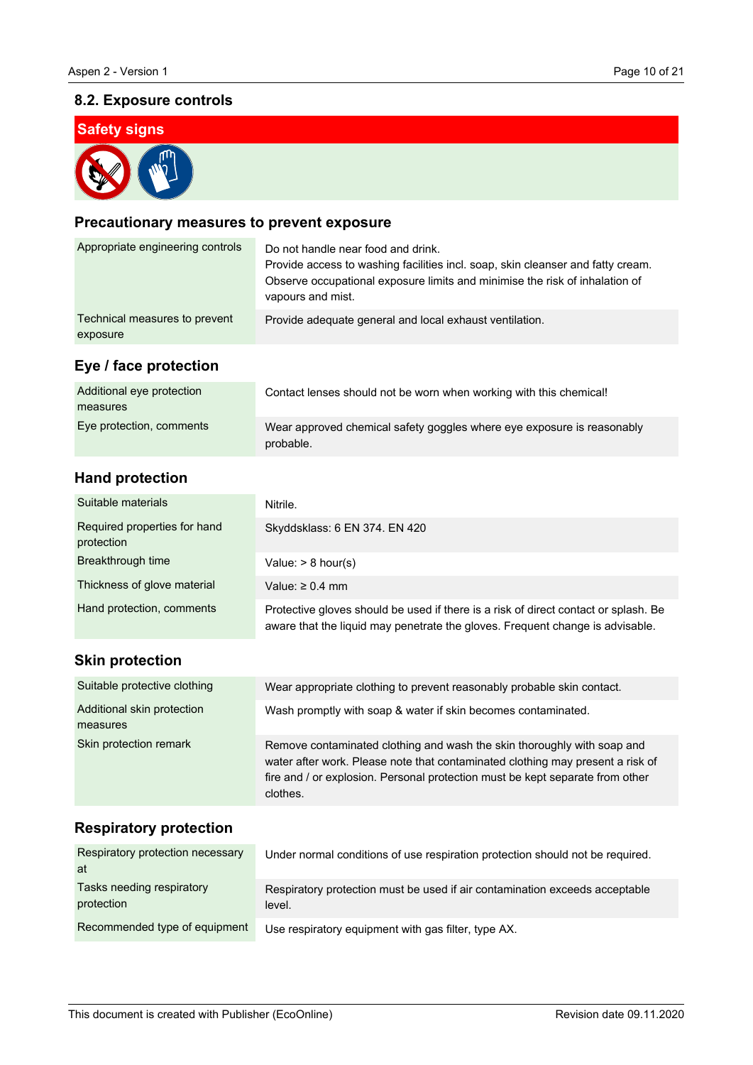# **8.2. Exposure controls**

# **Safety signs**

# **Precautionary measures to prevent exposure**

| Appropriate engineering controls          | Do not handle near food and drink.<br>Provide access to washing facilities incl. soap, skin cleanser and fatty cream.<br>Observe occupational exposure limits and minimise the risk of inhalation of<br>vapours and mist. |
|-------------------------------------------|---------------------------------------------------------------------------------------------------------------------------------------------------------------------------------------------------------------------------|
| Technical measures to prevent<br>exposure | Provide adequate general and local exhaust ventilation.                                                                                                                                                                   |
| Eye / face protection                     |                                                                                                                                                                                                                           |
| Additional eye protection<br>measures     | Contact lenses should not be worn when working with this chemical!                                                                                                                                                        |
| Eye protection, comments                  | Wear approved chemical safety goggles where eye exposure is reasonably<br>probable.                                                                                                                                       |

# **Hand protection**

| Suitable materials                         | Nitrile.                                                                                                                                                             |
|--------------------------------------------|----------------------------------------------------------------------------------------------------------------------------------------------------------------------|
| Required properties for hand<br>protection | Skyddsklass: 6 EN 374. EN 420                                                                                                                                        |
| Breakthrough time                          | Value: $> 8$ hour(s)                                                                                                                                                 |
| Thickness of glove material                | Value: $\geq 0.4$ mm                                                                                                                                                 |
| Hand protection, comments                  | Protective gloves should be used if there is a risk of direct contact or splash. Be<br>aware that the liquid may penetrate the gloves. Frequent change is advisable. |
| <b>Skin protection</b>                     |                                                                                                                                                                      |
| Suitable protective clothing               | Wear appropriate clothing to prevent reasonably probable skin contact.                                                                                               |
| Additional skin protection                 | Wash promptly with soap & water if skin becomes contaminated.                                                                                                        |

Remove contaminated clothing and wash the skin thoroughly with soap and water after work. Please note that contaminated clothing may present a risk of fire and / or explosion. Personal protection must be kept separate from other

# **Respiratory protection**

measures

Skin protection remark

| Respiratory protection necessary<br>at  | Under normal conditions of use respiration protection should not be required.         |
|-----------------------------------------|---------------------------------------------------------------------------------------|
| Tasks needing respiratory<br>protection | Respiratory protection must be used if air contamination exceeds acceptable<br>level. |
| Recommended type of equipment           | Use respiratory equipment with gas filter, type AX.                                   |

clothes.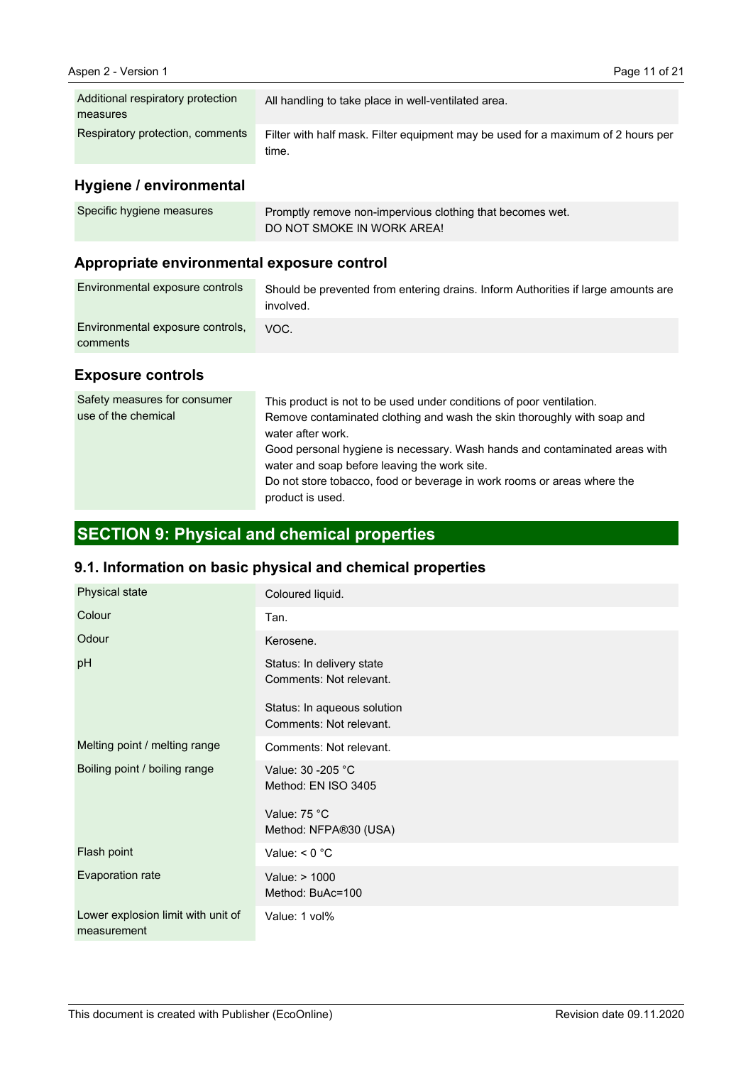| Additional respiratory protection<br>measures | All handling to take place in well-ventilated area.                                       |
|-----------------------------------------------|-------------------------------------------------------------------------------------------|
| Respiratory protection, comments              | Filter with half mask. Filter equipment may be used for a maximum of 2 hours per<br>time. |

# **Hygiene / environmental**

| Specific hygiene measures | Promptly remove non-impervious clothing that becomes wet. |
|---------------------------|-----------------------------------------------------------|
|                           | DO NOT SMOKE IN WORK AREA!                                |

# **Appropriate environmental exposure control**

| Environmental exposure controls              | Should be prevented from entering drains. Inform Authorities if large amounts are<br>involved. |
|----------------------------------------------|------------------------------------------------------------------------------------------------|
| Environmental exposure controls,<br>comments | VOC.                                                                                           |

#### **Exposure controls**

| Safety measures for consumer<br>use of the chemical | This product is not to be used under conditions of poor ventilation.<br>Remove contaminated clothing and wash the skin thoroughly with soap and<br>water after work.<br>Good personal hygiene is necessary. Wash hands and contaminated areas with<br>water and soap before leaving the work site.<br>Do not store tobacco, food or beverage in work rooms or areas where the<br>product is used. |
|-----------------------------------------------------|---------------------------------------------------------------------------------------------------------------------------------------------------------------------------------------------------------------------------------------------------------------------------------------------------------------------------------------------------------------------------------------------------|
|-----------------------------------------------------|---------------------------------------------------------------------------------------------------------------------------------------------------------------------------------------------------------------------------------------------------------------------------------------------------------------------------------------------------------------------------------------------------|

# **SECTION 9: Physical and chemical properties**

# **9.1. Information on basic physical and chemical properties**

| Physical state                                    | Coloured liquid.                                       |
|---------------------------------------------------|--------------------------------------------------------|
| Colour                                            | Tan.                                                   |
| Odour                                             | Kerosene.                                              |
| pH                                                | Status: In delivery state<br>Comments: Not relevant.   |
|                                                   | Status: In aqueous solution<br>Comments: Not relevant. |
| Melting point / melting range                     | Comments: Not relevant.                                |
| Boiling point / boiling range                     | Value: 30 - 205 °C<br>Method: EN ISO 3405              |
|                                                   | Value: 75 °C<br>Method: NFPA®30 (USA)                  |
| Flash point                                       | Value: $< 0$ °C                                        |
| Evaporation rate                                  | Value: > 1000<br>Method: BuAc=100                      |
| Lower explosion limit with unit of<br>measurement | Value: 1 vol%                                          |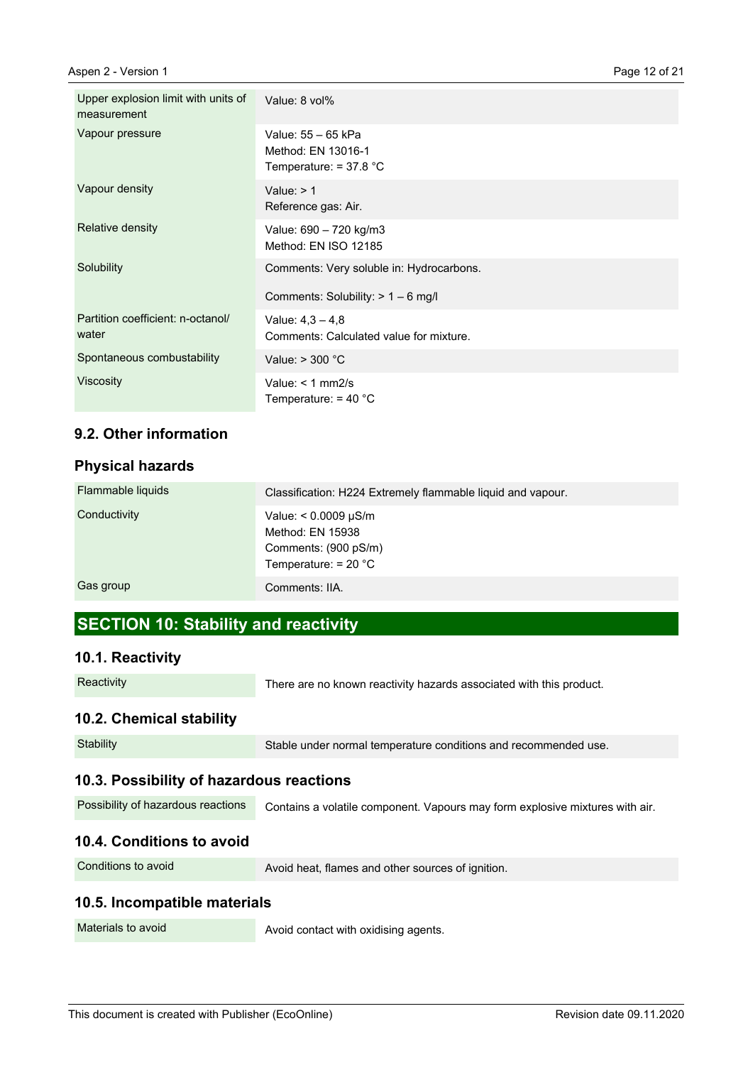| Upper explosion limit with units of<br>measurement | Value: 8 vol%                                                                    |
|----------------------------------------------------|----------------------------------------------------------------------------------|
| Vapour pressure                                    | Value: 55 - 65 kPa<br>Method: EN 13016-1<br>Temperature: $= 37.8 °C$             |
| Vapour density                                     | Value: $> 1$<br>Reference gas: Air.                                              |
| Relative density                                   | Value: 690 - 720 kg/m3<br>Method: EN ISO 12185                                   |
| Solubility                                         | Comments: Very soluble in: Hydrocarbons.<br>Comments: Solubility: $> 1 - 6$ mg/l |
| Partition coefficient: n-octanol/                  | Value: $4.3 - 4.8$                                                               |
| water                                              | Comments: Calculated value for mixture.                                          |
| Spontaneous combustability                         | Value: $>$ 300 $^{\circ}$ C                                                      |
| <b>Viscosity</b>                                   | Value: $<$ 1 mm2/s<br>Temperature: $=$ 40 $^{\circ}$ C                           |

# **9.2. Other information**

#### **Physical hazards**

| Flammable liquids | Classification: H224 Extremely flammable liquid and vapour.                                     |
|-------------------|-------------------------------------------------------------------------------------------------|
| Conductivity      | Value: $< 0.0009 \mu S/m$<br>Method: EN 15938<br>Comments: (900 pS/m)<br>Temperature: $= 20 °C$ |
| Gas group         | Comments: IIA.                                                                                  |

# **SECTION 10: Stability and reactivity**

#### **10.1. Reactivity**

| Reactivity |  |
|------------|--|
|            |  |

There are no known reactivity hazards associated with this product.

# **10.2. Chemical stability**

| 10.4. Conditions to avoid                |                                                                              |
|------------------------------------------|------------------------------------------------------------------------------|
| Possibility of hazardous reactions       | Contains a volatile component. Vapours may form explosive mixtures with air. |
| 10.3. Possibility of hazardous reactions |                                                                              |
| Stability                                | Stable under normal temperature conditions and recommended use.              |
|                                          |                                                                              |

Conditions to avoid

Avoid heat, flames and other sources of ignition.

#### **10.5. Incompatible materials**

Materials to avoid

Avoid contact with oxidising agents.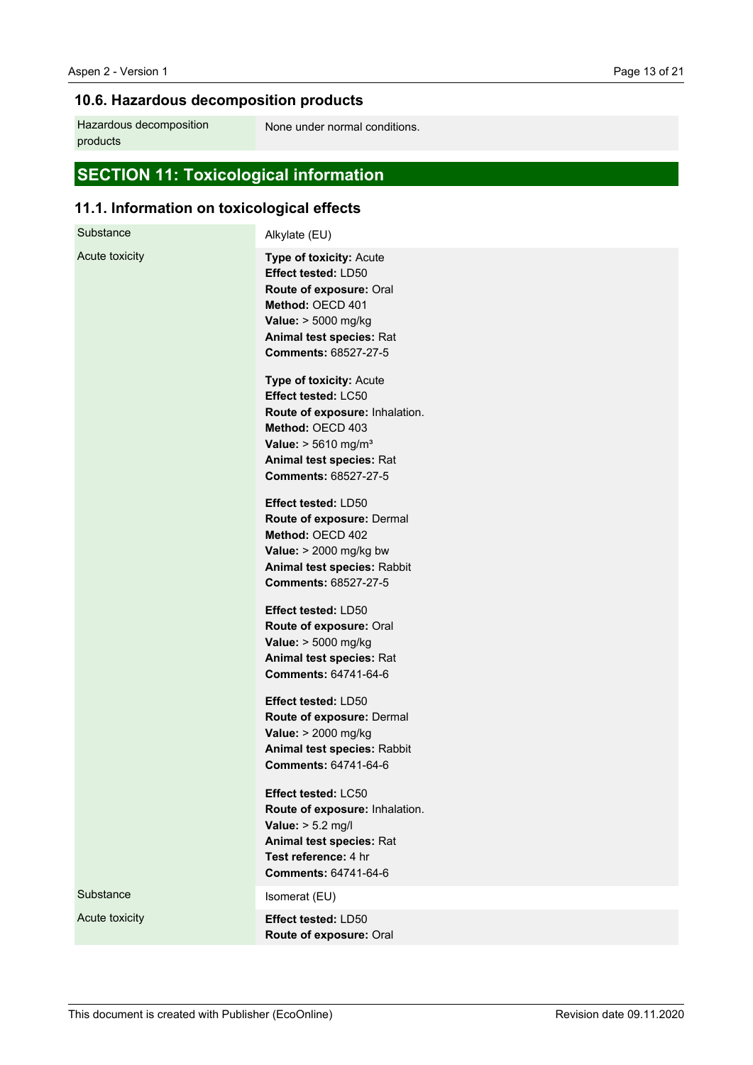# **10.6. Hazardous decomposition products**

Hazardous decomposition products

None under normal conditions.

# **SECTION 11: Toxicological information**

# **11.1. Information on toxicological effects**

| Substance      | Alkylate (EU)                                                                                                                                                                                                                                                                                                                                                                           |
|----------------|-----------------------------------------------------------------------------------------------------------------------------------------------------------------------------------------------------------------------------------------------------------------------------------------------------------------------------------------------------------------------------------------|
| Acute toxicity | Type of toxicity: Acute<br><b>Effect tested: LD50</b><br>Route of exposure: Oral<br>Method: OECD 401<br>Value: > 5000 mg/kg<br>Animal test species: Rat<br>Comments: 68527-27-5<br>Type of toxicity: Acute<br>Effect tested: LC50<br>Route of exposure: Inhalation.<br>Method: OECD 403<br><b>Value:</b> $> 5610$ mg/m <sup>3</sup><br>Animal test species: Rat<br>Comments: 68527-27-5 |
|                | Effect tested: LD50<br>Route of exposure: Dermal<br>Method: OECD 402<br>Value: $> 2000$ mg/kg bw<br>Animal test species: Rabbit<br>Comments: 68527-27-5<br>Effect tested: LD50                                                                                                                                                                                                          |
|                | Route of exposure: Oral<br>Value: > 5000 mg/kg<br>Animal test species: Rat<br><b>Comments: 64741-64-6</b>                                                                                                                                                                                                                                                                               |
|                | Effect tested: LD50<br>Route of exposure: Dermal<br>Value: > 2000 mg/kg<br>Animal test species: Rabbit<br><b>Comments: 64741-64-6</b>                                                                                                                                                                                                                                                   |
|                | Effect tested: LC50<br>Route of exposure: Inhalation.<br>Value: $> 5.2$ mg/l<br>Animal test species: Rat<br>Test reference: 4 hr<br><b>Comments: 64741-64-6</b>                                                                                                                                                                                                                         |
| Substance      | Isomerat (EU)                                                                                                                                                                                                                                                                                                                                                                           |
| Acute toxicity | Effect tested: LD50<br>Route of exposure: Oral                                                                                                                                                                                                                                                                                                                                          |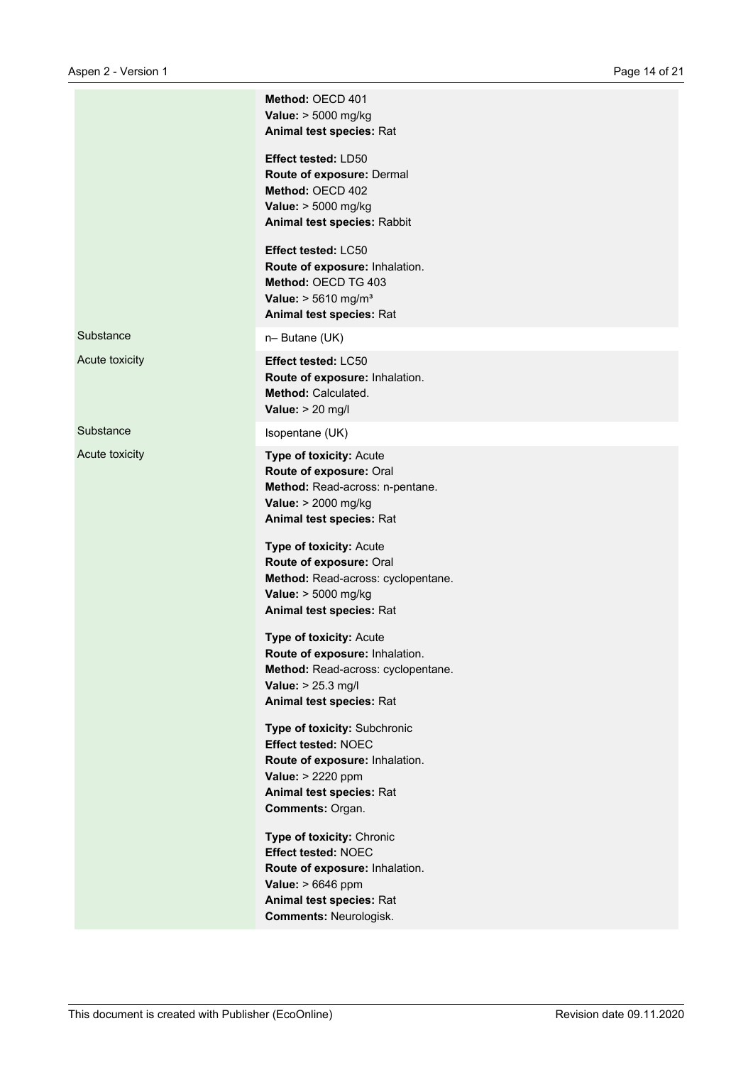|                | Method: OECD 401<br>Value: > 5000 mg/kg<br>Animal test species: Rat                                                                                                         |
|----------------|-----------------------------------------------------------------------------------------------------------------------------------------------------------------------------|
|                | Effect tested: LD50<br>Route of exposure: Dermal<br>Method: OECD 402<br>Value: > 5000 mg/kg<br>Animal test species: Rabbit                                                  |
|                | Effect tested: LC50<br>Route of exposure: Inhalation.<br>Method: OECD TG 403<br>Value: $> 5610$ mg/m <sup>3</sup><br>Animal test species: Rat                               |
| Substance      | n-Butane (UK)                                                                                                                                                               |
| Acute toxicity | Effect tested: LC50<br>Route of exposure: Inhalation.<br>Method: Calculated.<br>Value: $> 20$ mg/l                                                                          |
| Substance      | Isopentane (UK)                                                                                                                                                             |
| Acute toxicity | Type of toxicity: Acute<br>Route of exposure: Oral<br>Method: Read-across: n-pentane.<br>Value: > 2000 mg/kg<br>Animal test species: Rat                                    |
|                | Type of toxicity: Acute<br>Route of exposure: Oral<br>Method: Read-across: cyclopentane.<br>Value: > 5000 mg/kg<br>Animal test species: Rat                                 |
|                | Type of toxicity: Acute<br>Route of exposure: Inhalation.<br>Method: Read-across: cyclopentane.<br>Value: > 25.3 mg/l<br>Animal test species: Rat                           |
|                | Type of toxicity: Subchronic<br><b>Effect tested: NOEC</b><br>Route of exposure: Inhalation.<br>Value: > 2220 ppm<br>Animal test species: Rat<br>Comments: Organ.           |
|                | Type of toxicity: Chronic<br><b>Effect tested: NOEC</b><br>Route of exposure: Inhalation.<br>Value: > 6646 ppm<br>Animal test species: Rat<br><b>Comments: Neurologisk.</b> |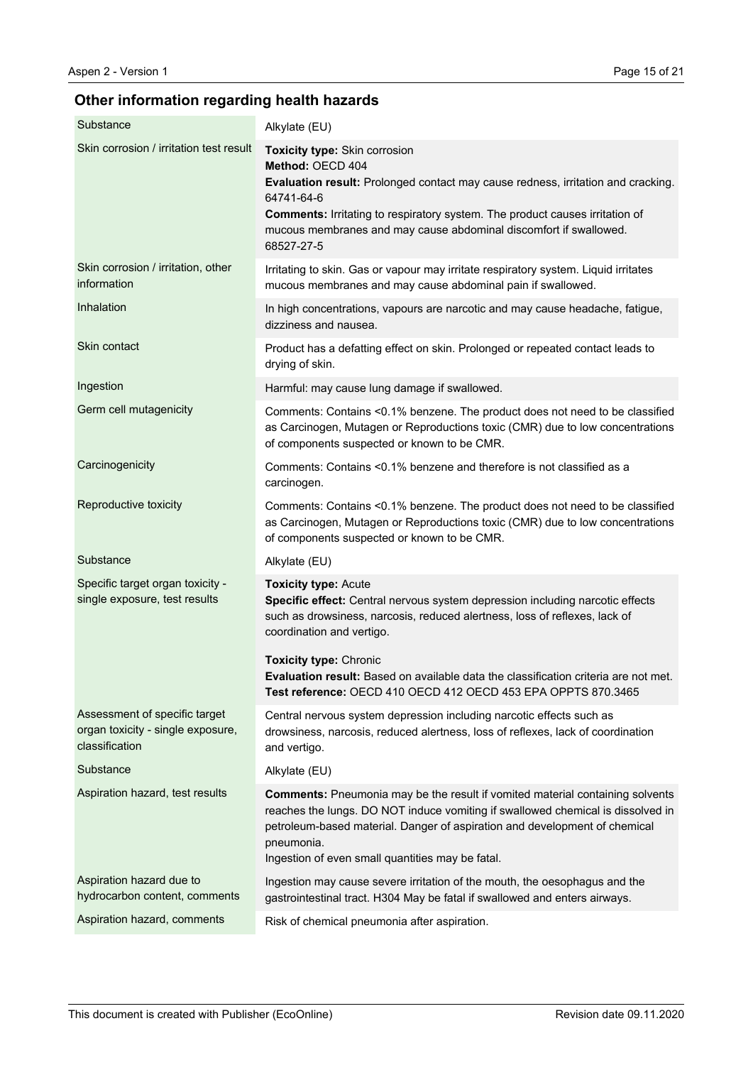# **Other information regarding health hazards**

| Substance                                                                            | Alkylate (EU)                                                                                                                                                                                                                                                                                                                        |
|--------------------------------------------------------------------------------------|--------------------------------------------------------------------------------------------------------------------------------------------------------------------------------------------------------------------------------------------------------------------------------------------------------------------------------------|
| Skin corrosion / irritation test result                                              | <b>Toxicity type: Skin corrosion</b><br>Method: OECD 404<br>Evaluation result: Prolonged contact may cause redness, irritation and cracking.<br>64741-64-6<br><b>Comments:</b> Irritating to respiratory system. The product causes irritation of<br>mucous membranes and may cause abdominal discomfort if swallowed.<br>68527-27-5 |
| Skin corrosion / irritation, other<br>information                                    | Irritating to skin. Gas or vapour may irritate respiratory system. Liquid irritates<br>mucous membranes and may cause abdominal pain if swallowed.                                                                                                                                                                                   |
| Inhalation                                                                           | In high concentrations, vapours are narcotic and may cause headache, fatigue,<br>dizziness and nausea.                                                                                                                                                                                                                               |
| Skin contact                                                                         | Product has a defatting effect on skin. Prolonged or repeated contact leads to<br>drying of skin.                                                                                                                                                                                                                                    |
| Ingestion                                                                            | Harmful: may cause lung damage if swallowed.                                                                                                                                                                                                                                                                                         |
| Germ cell mutagenicity                                                               | Comments: Contains <0.1% benzene. The product does not need to be classified<br>as Carcinogen, Mutagen or Reproductions toxic (CMR) due to low concentrations<br>of components suspected or known to be CMR.                                                                                                                         |
| Carcinogenicity                                                                      | Comments: Contains <0.1% benzene and therefore is not classified as a<br>carcinogen.                                                                                                                                                                                                                                                 |
| Reproductive toxicity                                                                | Comments: Contains <0.1% benzene. The product does not need to be classified<br>as Carcinogen, Mutagen or Reproductions toxic (CMR) due to low concentrations<br>of components suspected or known to be CMR.                                                                                                                         |
| Substance                                                                            | Alkylate (EU)                                                                                                                                                                                                                                                                                                                        |
| Specific target organ toxicity -<br>single exposure, test results                    | <b>Toxicity type: Acute</b><br>Specific effect: Central nervous system depression including narcotic effects<br>such as drowsiness, narcosis, reduced alertness, loss of reflexes, lack of<br>coordination and vertigo.                                                                                                              |
|                                                                                      | <b>Toxicity type: Chronic</b><br><b>Evaluation result:</b> Based on available data the classification criteria are not met.<br>Test reference: OECD 410 OECD 412 OECD 453 EPA OPPTS 870.3465                                                                                                                                         |
| Assessment of specific target<br>organ toxicity - single exposure,<br>classification | Central nervous system depression including narcotic effects such as<br>drowsiness, narcosis, reduced alertness, loss of reflexes, lack of coordination<br>and vertigo.                                                                                                                                                              |
| Substance                                                                            | Alkylate (EU)                                                                                                                                                                                                                                                                                                                        |
| Aspiration hazard, test results                                                      | <b>Comments:</b> Pneumonia may be the result if vomited material containing solvents<br>reaches the lungs. DO NOT induce vomiting if swallowed chemical is dissolved in<br>petroleum-based material. Danger of aspiration and development of chemical<br>pneumonia.<br>Ingestion of even small quantities may be fatal.              |
| Aspiration hazard due to<br>hydrocarbon content, comments                            | Ingestion may cause severe irritation of the mouth, the oesophagus and the<br>gastrointestinal tract. H304 May be fatal if swallowed and enters airways.                                                                                                                                                                             |
| Aspiration hazard, comments                                                          | Risk of chemical pneumonia after aspiration.                                                                                                                                                                                                                                                                                         |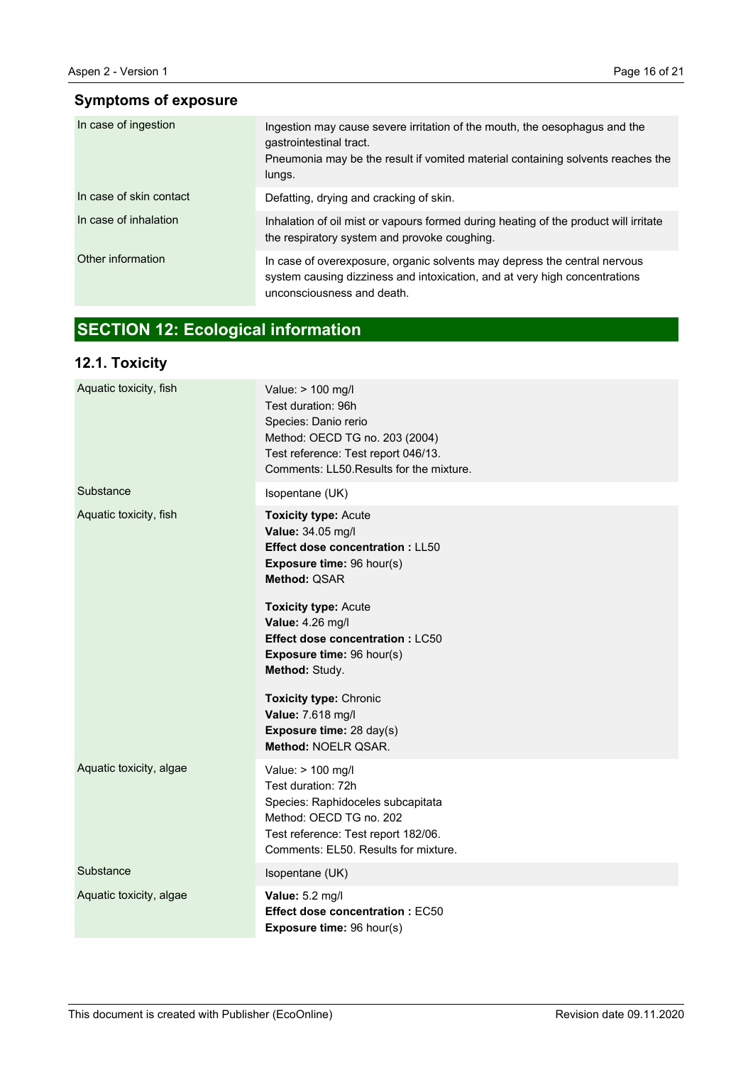# **Symptoms of exposure**

| In case of ingestion    | Ingestion may cause severe irritation of the mouth, the oesophagus and the<br>gastrointestinal tract.<br>Pneumonia may be the result if vomited material containing solvents reaches the<br>lungs. |
|-------------------------|----------------------------------------------------------------------------------------------------------------------------------------------------------------------------------------------------|
| In case of skin contact | Defatting, drying and cracking of skin.                                                                                                                                                            |
| In case of inhalation   | Inhalation of oil mist or vapours formed during heating of the product will irritate<br>the respiratory system and provoke coughing.                                                               |
| Other information       | In case of overexposure, organic solvents may depress the central nervous<br>system causing dizziness and intoxication, and at very high concentrations<br>unconsciousness and death.              |

# **SECTION 12: Ecological information**

# **12.1. Toxicity**

| Aquatic toxicity, fish  | Value: > 100 mg/l<br>Test duration: 96h<br>Species: Danio rerio<br>Method: OECD TG no. 203 (2004)<br>Test reference: Test report 046/13.<br>Comments: LL50. Results for the mixture.                                                                                                                                                                                  |
|-------------------------|-----------------------------------------------------------------------------------------------------------------------------------------------------------------------------------------------------------------------------------------------------------------------------------------------------------------------------------------------------------------------|
| Substance               | Isopentane (UK)                                                                                                                                                                                                                                                                                                                                                       |
| Aquatic toxicity, fish  | <b>Toxicity type: Acute</b><br>Value: 34.05 mg/l<br><b>Effect dose concentration: LL50</b><br>Exposure time: 96 hour(s)<br>Method: QSAR<br><b>Toxicity type: Acute</b><br>Value: 4.26 mg/l<br><b>Effect dose concentration: LC50</b><br>Exposure time: 96 hour(s)<br>Method: Study.<br><b>Toxicity type: Chronic</b><br>Value: 7.618 mg/l<br>Exposure time: 28 day(s) |
|                         | Method: NOELR QSAR.                                                                                                                                                                                                                                                                                                                                                   |
| Aquatic toxicity, algae | Value: > 100 mg/l<br>Test duration: 72h<br>Species: Raphidoceles subcapitata<br>Method: OECD TG no. 202<br>Test reference: Test report 182/06.<br>Comments: EL50. Results for mixture.                                                                                                                                                                                |
| Substance               | Isopentane (UK)                                                                                                                                                                                                                                                                                                                                                       |
| Aquatic toxicity, algae | Value: 5.2 mg/l<br>Effect dose concentration : EC50<br>Exposure time: 96 hour(s)                                                                                                                                                                                                                                                                                      |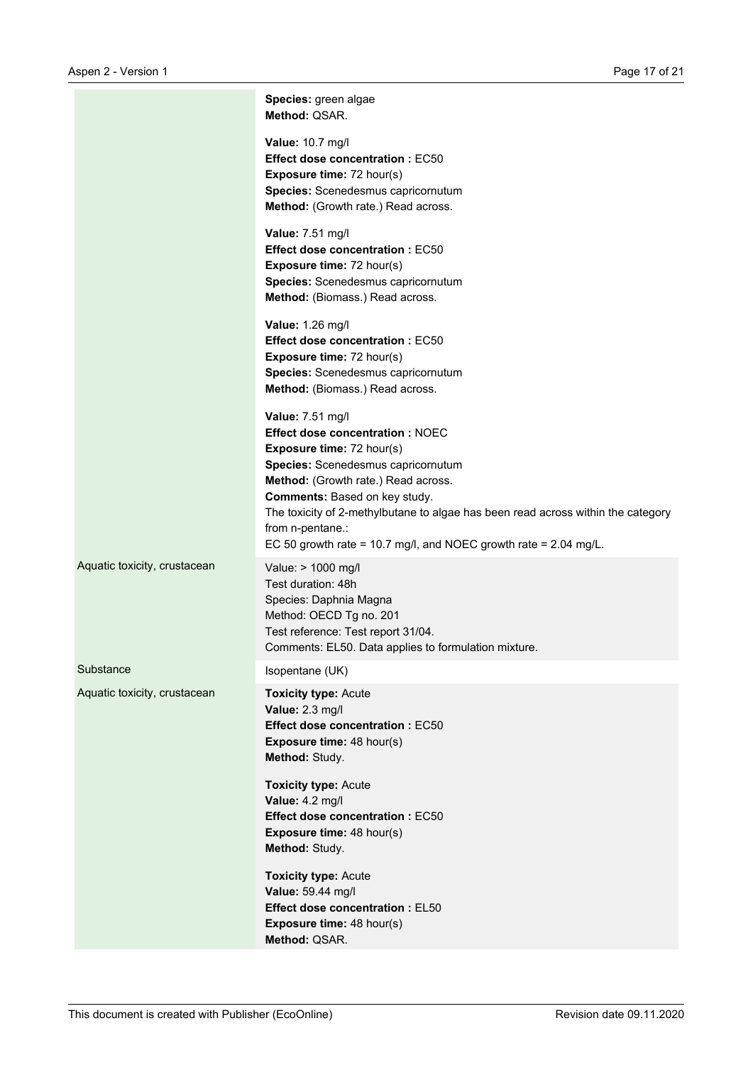|                              | Species: green algae<br>Method: QSAR.                                                                                                                                                                                                                                                                                                                                               |
|------------------------------|-------------------------------------------------------------------------------------------------------------------------------------------------------------------------------------------------------------------------------------------------------------------------------------------------------------------------------------------------------------------------------------|
|                              | Value: 10.7 mg/l<br><b>Effect dose concentration: EC50</b><br><b>Exposure time: 72 hour(s)</b><br>Species: Scenedesmus capricornutum<br>Method: (Growth rate.) Read across.                                                                                                                                                                                                         |
|                              | Value: 7.51 mg/l<br><b>Effect dose concentration: EC50</b><br>Exposure time: 72 hour(s)<br>Species: Scenedesmus capricornutum<br>Method: (Biomass.) Read across.                                                                                                                                                                                                                    |
|                              | Value: 1.26 mg/l<br><b>Effect dose concentration: EC50</b><br>Exposure time: 72 hour(s)<br>Species: Scenedesmus capricornutum<br>Method: (Biomass.) Read across.                                                                                                                                                                                                                    |
|                              | Value: 7.51 mg/l<br><b>Effect dose concentration: NOEC</b><br>Exposure time: 72 hour(s)<br>Species: Scenedesmus capricornutum<br>Method: (Growth rate.) Read across.<br>Comments: Based on key study.<br>The toxicity of 2-methylbutane to algae has been read across within the category<br>from n-pentane.:<br>EC 50 growth rate = 10.7 mg/l, and NOEC growth rate = $2.04$ mg/L. |
| Aquatic toxicity, crustacean | Value: > 1000 mg/l<br>Test duration: 48h<br>Species: Daphnia Magna<br>Method: OECD Tg no. 201<br>Test reference: Test report 31/04.<br>Comments: EL50. Data applies to formulation mixture.                                                                                                                                                                                         |
| Substance                    | Isopentane (UK)                                                                                                                                                                                                                                                                                                                                                                     |
| Aquatic toxicity, crustacean | <b>Toxicity type: Acute</b><br>Value: 2.3 mg/l<br><b>Effect dose concentration: EC50</b><br>Exposure time: 48 hour(s)<br>Method: Study.                                                                                                                                                                                                                                             |
|                              | <b>Toxicity type: Acute</b><br>Value: 4.2 mg/l<br><b>Effect dose concentration: EC50</b><br>Exposure time: 48 hour(s)<br>Method: Study.                                                                                                                                                                                                                                             |
|                              | <b>Toxicity type: Acute</b><br>Value: 59.44 mg/l<br><b>Effect dose concentration: EL50</b><br><b>Exposure time: 48 hour(s)</b><br>Method: QSAR.                                                                                                                                                                                                                                     |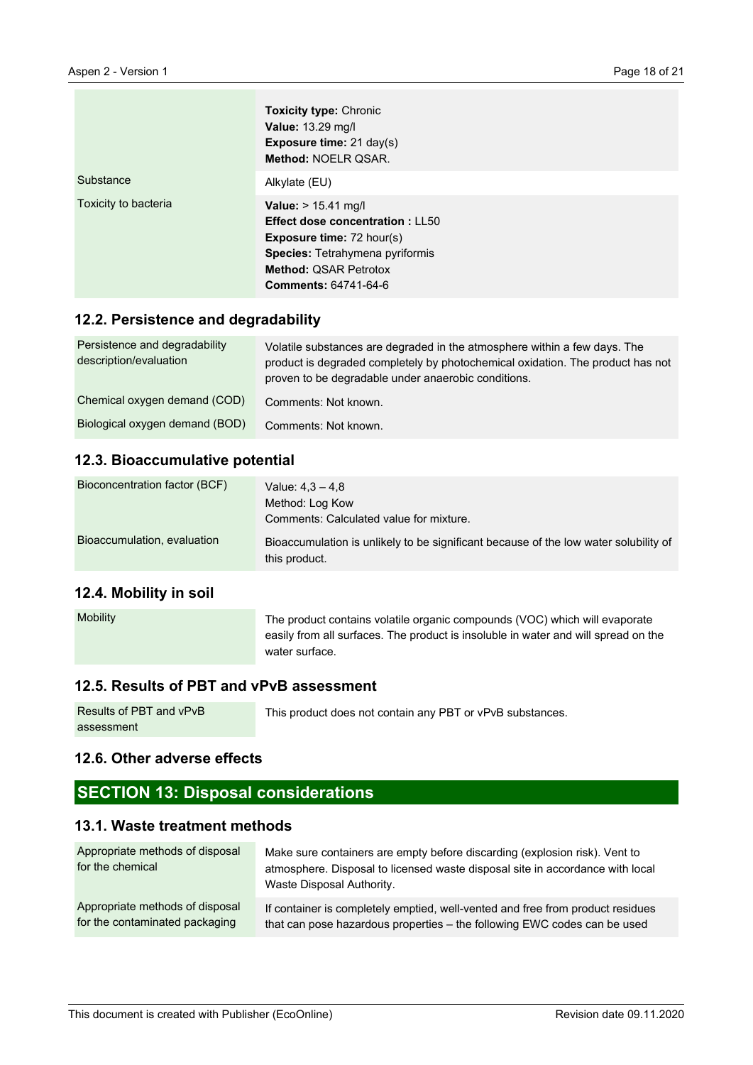|                      | <b>Toxicity type: Chronic</b><br><b>Value: 13.29 mg/l</b><br><b>Exposure time:</b> $21 \text{ day}(s)$<br>Method: NOELR QSAR.                                                                       |
|----------------------|-----------------------------------------------------------------------------------------------------------------------------------------------------------------------------------------------------|
| Substance            | Alkylate (EU)                                                                                                                                                                                       |
| Toxicity to bacteria | Value: > 15.41 mg/l<br><b>Effect dose concentration: LL50</b><br><b>Exposure time: 72 hour(s)</b><br>Species: Tetrahymena pyriformis<br><b>Method: QSAR Petrotox</b><br><b>Comments: 64741-64-6</b> |

#### **12.2. Persistence and degradability**

| Persistence and degradability<br>description/evaluation | Volatile substances are degraded in the atmosphere within a few days. The<br>product is degraded completely by photochemical oxidation. The product has not<br>proven to be degradable under anaerobic conditions. |
|---------------------------------------------------------|--------------------------------------------------------------------------------------------------------------------------------------------------------------------------------------------------------------------|
| Chemical oxygen demand (COD)                            | Comments: Not known.                                                                                                                                                                                               |
| Biological oxygen demand (BOD)                          | Comments: Not known.                                                                                                                                                                                               |

#### **12.3. Bioaccumulative potential**

| Bioconcentration factor (BCF) | Value: $4.3 - 4.8$                                                                                    |
|-------------------------------|-------------------------------------------------------------------------------------------------------|
|                               | Method: Log Kow                                                                                       |
|                               | Comments: Calculated value for mixture.                                                               |
| Bioaccumulation, evaluation   | Bioaccumulation is unlikely to be significant because of the low water solubility of<br>this product. |

#### **12.4. Mobility in soil**

| <b>Mobility</b> | The product contains volatile organic compounds (VOC) which will evaporate         |
|-----------------|------------------------------------------------------------------------------------|
|                 | easily from all surfaces. The product is insoluble in water and will spread on the |
|                 | water surface.                                                                     |

# **12.5. Results of PBT and vPvB assessment**

| Results of PBT and vPvB | This product does not contain any PBT or vPvB substances. |
|-------------------------|-----------------------------------------------------------|
| assessment              |                                                           |

# **12.6. Other adverse effects**

# **SECTION 13: Disposal considerations**

# **13.1. Waste treatment methods**

| Appropriate methods of disposal<br>for the chemical | Make sure containers are empty before discarding (explosion risk). Vent to<br>atmosphere. Disposal to licensed waste disposal site in accordance with local<br>Waste Disposal Authority. |
|-----------------------------------------------------|------------------------------------------------------------------------------------------------------------------------------------------------------------------------------------------|
| Appropriate methods of disposal                     | If container is completely emptied, well-vented and free from product residues                                                                                                           |
| for the contaminated packaging                      | that can pose hazardous properties - the following EWC codes can be used                                                                                                                 |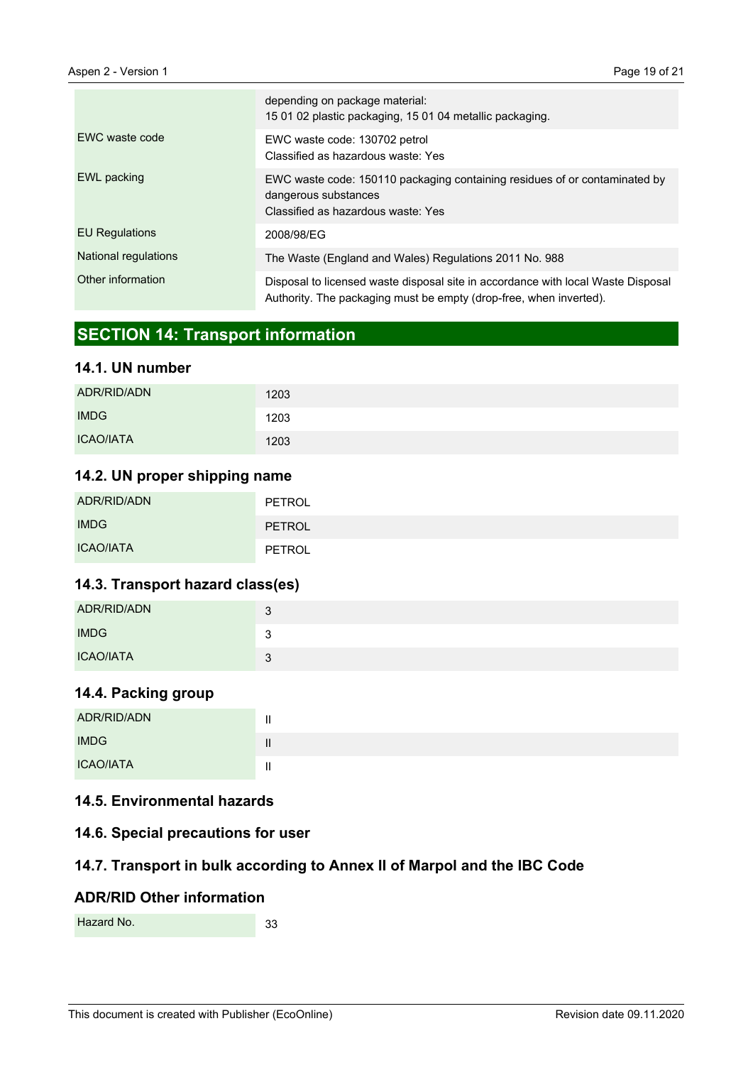|                       | depending on package material:<br>15 01 02 plastic packaging, 15 01 04 metallic packaging.                                                             |
|-----------------------|--------------------------------------------------------------------------------------------------------------------------------------------------------|
| EWC waste code        | EWC waste code: 130702 petrol<br>Classified as hazardous waste: Yes                                                                                    |
| EWL packing           | EWC waste code: 150110 packaging containing residues of or contaminated by<br>dangerous substances<br>Classified as hazardous waste: Yes               |
| <b>EU Regulations</b> | 2008/98/EG                                                                                                                                             |
| National regulations  | The Waste (England and Wales) Regulations 2011 No. 988                                                                                                 |
| Other information     | Disposal to licensed waste disposal site in accordance with local Waste Disposal<br>Authority. The packaging must be empty (drop-free, when inverted). |

# **SECTION 14: Transport information**

# **14.1. UN number**

| ADR/RID/ADN      | 1203 |
|------------------|------|
| <b>IMDG</b>      | 1203 |
| <b>ICAO/IATA</b> | 1203 |

# **14.2. UN proper shipping name**

| ADR/RID/ADN      | PETROL        |
|------------------|---------------|
| <b>IMDG</b>      | <b>PETROL</b> |
| <b>ICAO/IATA</b> | PETROL        |

# **14.3. Transport hazard class(es)**

| ADR/RID/ADN      | 3       |
|------------------|---------|
| <b>IMDG</b>      | ্ব<br>ັ |
| <b>ICAO/IATA</b> | 2<br>ມ  |

# **14.4. Packing group**

| ADR/RID/ADN      |  |
|------------------|--|
| <b>IMDG</b>      |  |
| <b>ICAO/IATA</b> |  |

# **14.5. Environmental hazards**

#### **14.6. Special precautions for user**

# **14.7. Transport in bulk according to Annex II of Marpol and the IBC Code**

#### **ADR/RID Other information**

33 Hazard No.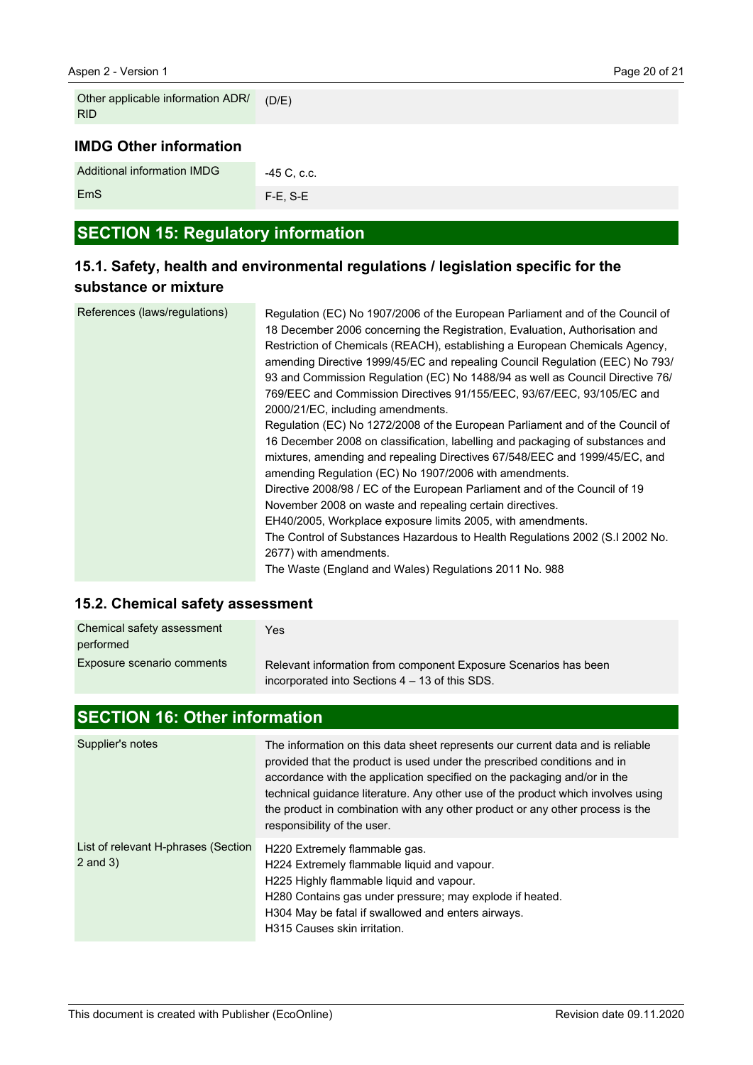EmS

| Other applicable information ADR/<br><b>RID</b> | (D/E)       |
|-------------------------------------------------|-------------|
| <b>IMDG Other information</b>                   |             |
| Additional information IMDG                     | -45 C, c.c. |

# **SECTION 15: Regulatory information**

F-E, S-E

# **15.1. Safety, health and environmental regulations / legislation specific for the substance or mixture**

| References (laws/regulations) | Regulation (EC) No 1907/2006 of the European Parliament and of the Council of<br>18 December 2006 concerning the Registration, Evaluation, Authorisation and<br>Restriction of Chemicals (REACH), establishing a European Chemicals Agency,<br>amending Directive 1999/45/EC and repealing Council Regulation (EEC) No 793/<br>93 and Commission Regulation (EC) No 1488/94 as well as Council Directive 76/<br>769/EEC and Commission Directives 91/155/EEC, 93/67/EEC, 93/105/EC and<br>2000/21/EC, including amendments.<br>Regulation (EC) No 1272/2008 of the European Parliament and of the Council of<br>16 December 2008 on classification, labelling and packaging of substances and<br>mixtures, amending and repealing Directives 67/548/EEC and 1999/45/EC, and<br>amending Regulation (EC) No 1907/2006 with amendments.<br>Directive 2008/98 / EC of the European Parliament and of the Council of 19<br>November 2008 on waste and repealing certain directives.<br>EH40/2005, Workplace exposure limits 2005, with amendments. |
|-------------------------------|------------------------------------------------------------------------------------------------------------------------------------------------------------------------------------------------------------------------------------------------------------------------------------------------------------------------------------------------------------------------------------------------------------------------------------------------------------------------------------------------------------------------------------------------------------------------------------------------------------------------------------------------------------------------------------------------------------------------------------------------------------------------------------------------------------------------------------------------------------------------------------------------------------------------------------------------------------------------------------------------------------------------------------------------|
|                               | The Control of Substances Hazardous to Health Regulations 2002 (S.I 2002 No.<br>2677) with amendments.<br>The Waste (England and Wales) Regulations 2011 No. 988                                                                                                                                                                                                                                                                                                                                                                                                                                                                                                                                                                                                                                                                                                                                                                                                                                                                               |
|                               |                                                                                                                                                                                                                                                                                                                                                                                                                                                                                                                                                                                                                                                                                                                                                                                                                                                                                                                                                                                                                                                |

# **15.2. Chemical safety assessment**

| Chemical safety assessment<br>performed | Yes.                                                                                                              |
|-----------------------------------------|-------------------------------------------------------------------------------------------------------------------|
| Exposure scenario comments              | Relevant information from component Exposure Scenarios has been<br>incorporated into Sections 4 – 13 of this SDS. |

# **SECTION 16: Other information**

| Supplier's notes                                    | The information on this data sheet represents our current data and is reliable<br>provided that the product is used under the prescribed conditions and in<br>accordance with the application specified on the packaging and/or in the<br>technical guidance literature. Any other use of the product which involves using<br>the product in combination with any other product or any other process is the<br>responsibility of the user. |
|-----------------------------------------------------|--------------------------------------------------------------------------------------------------------------------------------------------------------------------------------------------------------------------------------------------------------------------------------------------------------------------------------------------------------------------------------------------------------------------------------------------|
| List of relevant H-phrases (Section<br>$2$ and $3)$ | H220 Extremely flammable gas.<br>H224 Extremely flammable liquid and vapour.<br>H225 Highly flammable liquid and vapour.<br>H280 Contains gas under pressure; may explode if heated.<br>H304 May be fatal if swallowed and enters airways.<br>H315 Causes skin irritation.                                                                                                                                                                 |